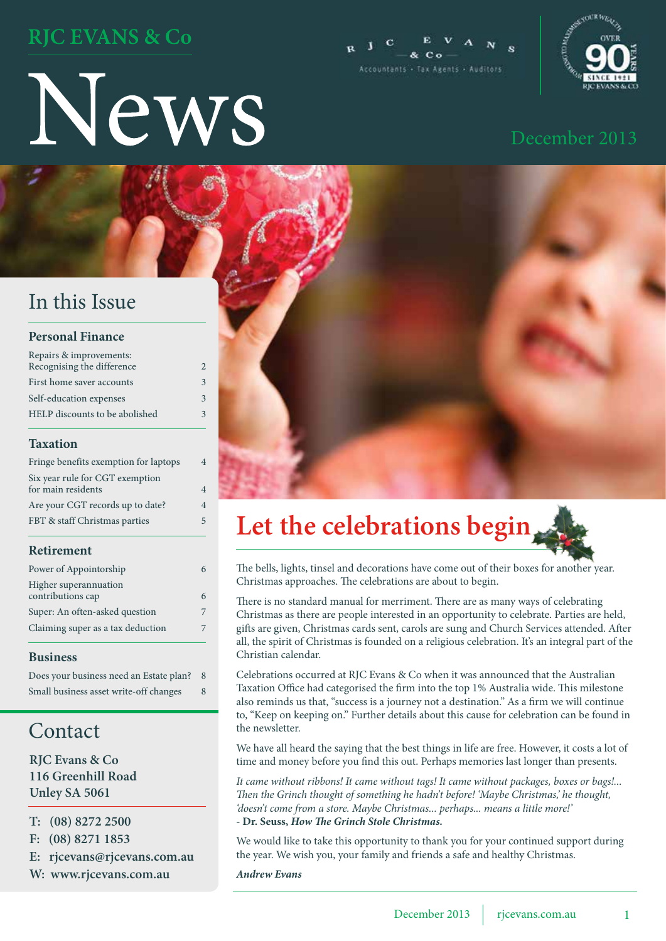### **RJC EVANS & Co**

# News





#### December 2013

### In this Issue

#### **Personal Finance**

| Repairs & improvements:<br>Recognising the difference | $\mathfrak{D}$ |
|-------------------------------------------------------|----------------|
| First home saver accounts                             | 3              |
| Self-education expenses                               | 3              |
| HELP discounts to be abolished                        | 3              |
|                                                       |                |

#### **Taxation**

| Fringe benefits exemption for laptops                 | 4 |
|-------------------------------------------------------|---|
| Six year rule for CGT exemption<br>for main residents | 4 |
| Are your CGT records up to date?                      | 4 |
| FBT & staff Christmas parties                         | 5 |

#### **Retirement**

| Power of Appointorship                     | 6 |
|--------------------------------------------|---|
| Higher superannuation<br>contributions cap | 6 |
| Super: An often-asked question             | 7 |
| Claiming super as a tax deduction          | 7 |

#### **Business**

| Does your business need an Estate plan? | 8 |
|-----------------------------------------|---|
| Small business asset write-off changes  | 8 |

#### Contact

**RJC Evans & Co 116 Greenhill Road Unley SA 5061** 

- **T: (08) 8272 2500**
- **F: (08) 8271 1853**
- **E: rjcevans@rjcevans.com.au**
- **W: www.rjcevans.com.au**



### **Let the celebrations begin**

The bells, lights, tinsel and decorations have come out of their boxes for another year. Christmas approaches. The celebrations are about to begin.

There is no standard manual for merriment. There are as many ways of celebrating Christmas as there are people interested in an opportunity to celebrate. Parties are held, gifts are given, Christmas cards sent, carols are sung and Church Services attended. After all, the spirit of Christmas is founded on a religious celebration. It's an integral part of the Christian calendar.

Celebrations occurred at RJC Evans & Co when it was announced that the Australian Taxation Office had categorised the firm into the top 1% Australia wide. This milestone also reminds us that, "success is a journey not a destination." As a firm we will continue to, "Keep on keeping on." Further details about this cause for celebration can be found in the newsletter.

We have all heard the saying that the best things in life are free. However, it costs a lot of time and money before you find this out. Perhaps memories last longer than presents.

*It came without ribbons! It came without tags! It came without packages, boxes or bags!... Then the Grinch thought of something he hadn't before! 'Maybe Christmas,' he thought, 'doesn't come from a store. Maybe Christmas... perhaps... means a little more!'* **- Dr. Seuss,** *How The Grinch Stole Christmas.*

We would like to take this opportunity to thank you for your continued support during the year. We wish you, your family and friends a safe and healthy Christmas.

*Andrew Evans*

#### **Recember 2013** ... **Property** 1 ... **Property** 2013 Auditors ricevans.com.au December 2013 | rjcevans.com.au December 2013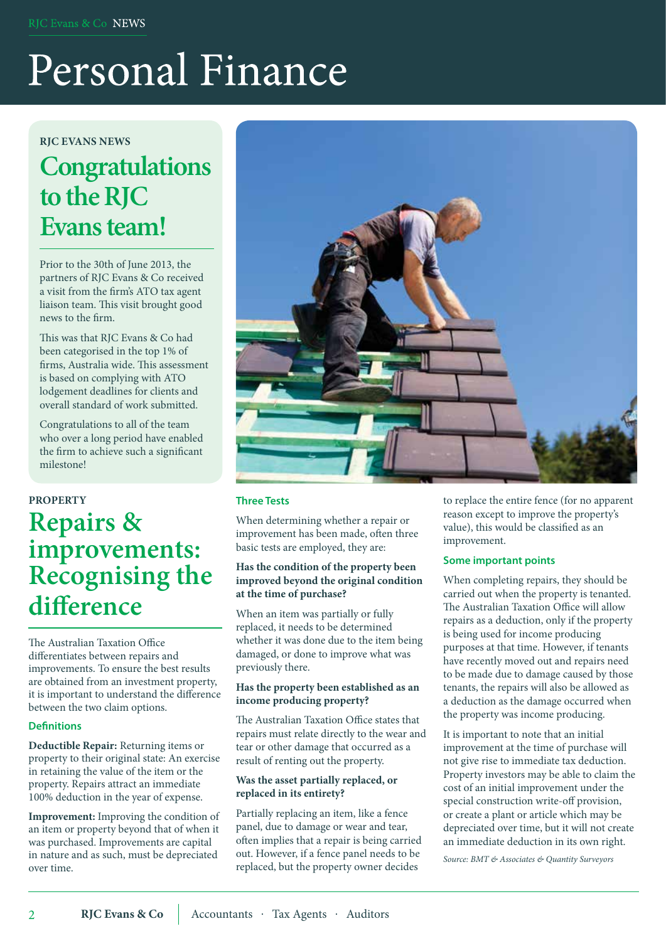# Personal Finance

#### **rjc evans news**

### **Congratulations to the RJC Evans team!**

Prior to the 30th of June 2013, the partners of RJC Evans & Co received a visit from the firm's ATO tax agent liaison team. This visit brought good news to the firm.

This was that RJC Evans & Co had been categorised in the top 1% of firms, Australia wide. This assessment is based on complying with ATO lodgement deadlines for clients and overall standard of work submitted.

Congratulations to all of the team who over a long period have enabled the firm to achieve such a significant milestone!

### **property Repairs & improvements: Recognising the difference**

The Australian Taxation Office differentiates between repairs and improvements. To ensure the best results are obtained from an investment property, it is important to understand the difference between the two claim options.

#### **Definitions**

 $\overline{2}$ 

**Deductible Repair:** Returning items or property to their original state: An exercise in retaining the value of the item or the property. Repairs attract an immediate 100% deduction in the year of expense.

**Improvement:** Improving the condition of an item or property beyond that of when it was purchased. Improvements are capital in nature and as such, must be depreciated over time.



#### **Three Tests**

When determining whether a repair or improvement has been made, often three basic tests are employed, they are:

#### **Has the condition of the property been improved beyond the original condition at the time of purchase?**

When an item was partially or fully replaced, it needs to be determined whether it was done due to the item being damaged, or done to improve what was previously there.

#### **Has the property been established as an income producing property?**

The Australian Taxation Office states that repairs must relate directly to the wear and tear or other damage that occurred as a result of renting out the property.

#### **Was the asset partially replaced, or replaced in its entirety?**

Partially replacing an item, like a fence panel, due to damage or wear and tear, often implies that a repair is being carried out. However, if a fence panel needs to be replaced, but the property owner decides

to replace the entire fence (for no apparent reason except to improve the property's value), this would be classified as an improvement.

#### **Some important points**

When completing repairs, they should be carried out when the property is tenanted. The Australian Taxation Office will allow repairs as a deduction, only if the property is being used for income producing purposes at that time. However, if tenants have recently moved out and repairs need to be made due to damage caused by those tenants, the repairs will also be allowed as a deduction as the damage occurred when the property was income producing.

It is important to note that an initial improvement at the time of purchase will not give rise to immediate tax deduction. Property investors may be able to claim the cost of an initial improvement under the special construction write-off provision, or create a plant or article which may be depreciated over time, but it will not create an immediate deduction in its own right.

*Source: BMT & Associates & Quantity Surveyors*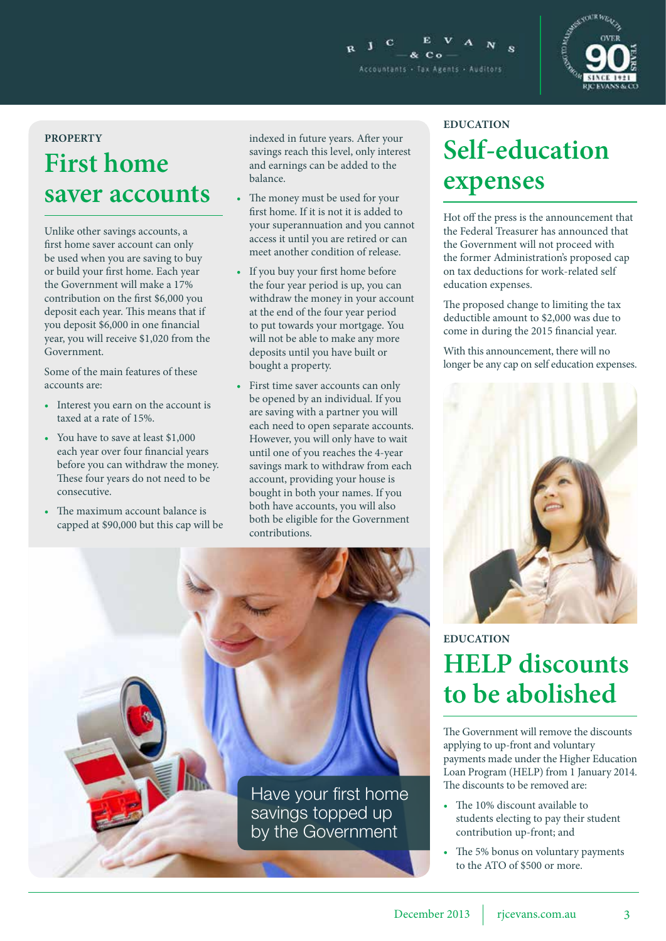



### **property First home saver accounts**

Unlike other savings accounts, a first home saver account can only be used when you are saving to buy or build your first home. Each year the Government will make a 17% contribution on the first \$6,000 you deposit each year. This means that if you deposit \$6,000 in one financial year, you will receive \$1,020 from the Government.

Some of the main features of these accounts are:

- Interest you earn on the account is taxed at a rate of 15%.
- You have to save at least \$1,000 each year over four financial years before you can withdraw the money. These four years do not need to be consecutive.
- The maximum account balance is capped at \$90,000 but this cap will be

indexed in future years. After your savings reach this level, only interest and earnings can be added to the balance.

- The money must be used for your first home. If it is not it is added to your superannuation and you cannot access it until you are retired or can meet another condition of release.
- If you buy your first home before the four year period is up, you can withdraw the money in your account at the end of the four year period to put towards your mortgage. You will not be able to make any more deposits until you have built or bought a property.
- First time saver accounts can only be opened by an individual. If you are saving with a partner you will each need to open separate accounts. However, you will only have to wait until one of you reaches the 4-year savings mark to withdraw from each account, providing your house is bought in both your names. If you both have accounts, you will also both be eligible for the Government contributions.

### **education Self-education expenses**

Hot off the press is the announcement that the Federal Treasurer has announced that the Government will not proceed with the former Administration's proposed cap on tax deductions for work-related self education expenses.

The proposed change to limiting the tax deductible amount to \$2,000 was due to come in during the 2015 financial year.

With this announcement, there will no longer be any cap on self education expenses.



### **education HELP discounts to be abolished**

The Government will remove the discounts applying to up-front and voluntary payments made under the Higher Education Loan Program (HELP) from 1 January 2014. The discounts to be removed are:

- The 10% discount available to students electing to pay their student contribution up-front; and
- The 5% bonus on voluntary payments to the ATO of \$500 or more.

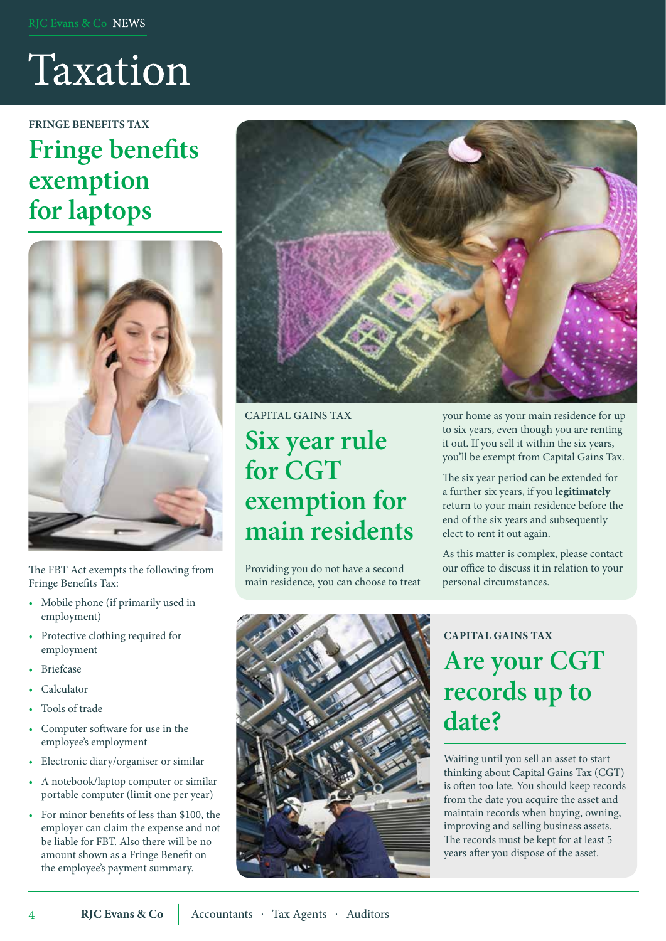# Taxation

**fringe benefits tax**

### **Fringe benefits exemption for laptops**



The FBT Act exempts the following from Fringe Benefits Tax:

- • Mobile phone (if primarily used in employment)
- Protective clothing required for employment
- • Briefcase
- Calculator

4

- Tools of trade
- • Computer software for use in the employee's employment
- • Electronic diary/organiser or similar
- A notebook/laptop computer or similar portable computer (limit one per year)
- • For minor benefits of less than \$100, the employer can claim the expense and not be liable for FBT. Also there will be no amount shown as a Fringe Benefit on the employee's payment summary.



capital gains tax **Six year rule for CGT exemption for main residents**

Providing you do not have a second main residence, you can choose to treat



your home as your main residence for up to six years, even though you are renting it out. If you sell it within the six years, you'll be exempt from Capital Gains Tax.

The six year period can be extended for a further six years, if you **legitimately**  return to your main residence before the end of the six years and subsequently elect to rent it out again.

As this matter is complex, please contact our office to discuss it in relation to your personal circumstances.

### **capital gains tax Are your CGT records up to date?**

Waiting until you sell an asset to start thinking about Capital Gains Tax (CGT) is often too late. You should keep records from the date you acquire the asset and maintain records when buying, owning, improving and selling business assets. The records must be kept for at least 5 years after you dispose of the asset.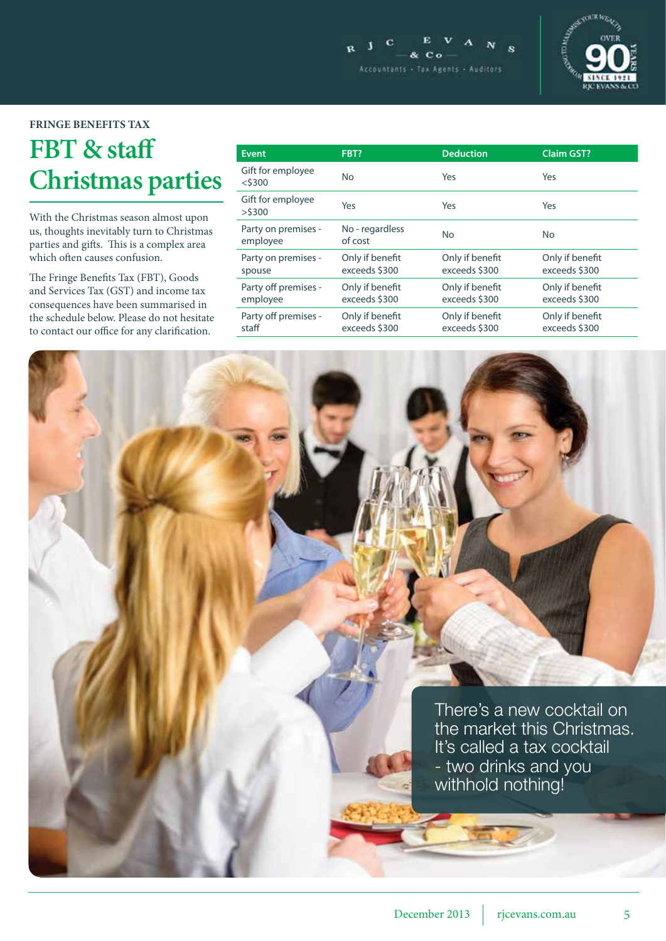



#### **fringe benefits tax**

### **FBT & staff Christmas parties**

With the Christmas season almost upon us, thoughts inevitably turn to Christmas parties and gifts. This is a complex area which often causes confusion.

The Fringe Benefits Tax (FBT), Goods and Services Tax (GST) and income tax consequences have been summarised in the schedule below. Please do not hesitate to contact our office for any clarification.

| <b>Event</b>                     | FBT?                             | <b>Deduction</b>                 | <b>Claim GST?</b>                |
|----------------------------------|----------------------------------|----------------------------------|----------------------------------|
| Gift for employee<br>$<$ \$300   | No.                              | Yes                              | Yes                              |
| Gift for employee<br>$>$ \$300   | Yes                              | Yes                              | Yes                              |
| Party on premises -<br>employee  | No - regardless<br>of cost       | <b>No</b>                        | <b>No</b>                        |
| Party on premises -<br>spouse    | Only if benefit<br>exceeds \$300 | Only if benefit<br>exceeds \$300 | Only if benefit<br>exceeds \$300 |
| Party off premises -<br>employee | Only if benefit<br>exceeds \$300 | Only if benefit<br>exceeds \$300 | Only if benefit<br>exceeds \$300 |
| Party off premises -<br>staff    | Only if benefit<br>exceeds \$300 | Only if benefit<br>exceeds \$300 | Only if benefit<br>exceeds \$300 |

There's a new cocktail on the market this Christmas. It's called a tax cocktail - two drinks and you withhold nothing!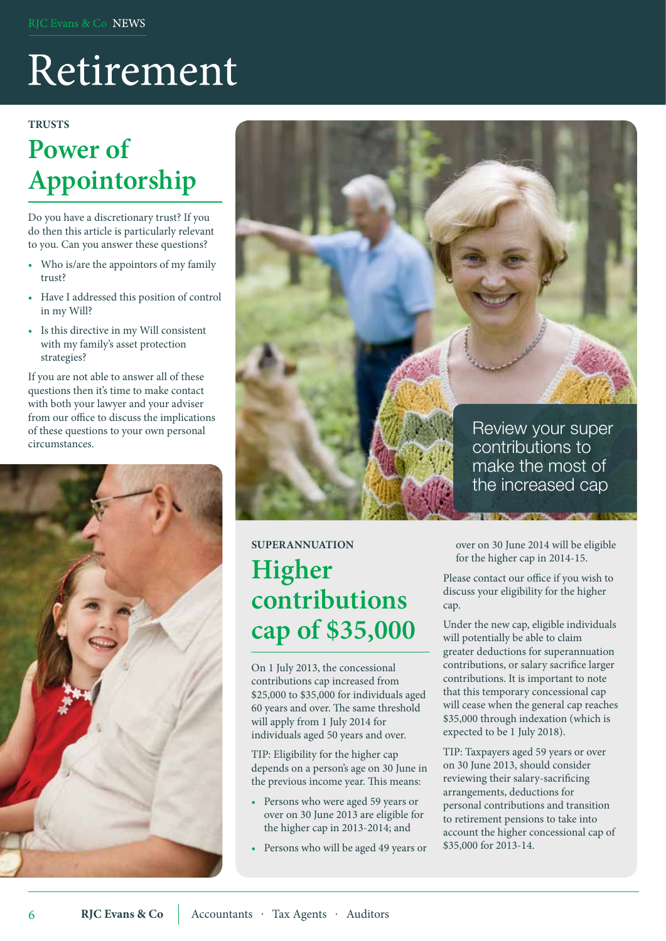# Retirement

#### **trusts**

### **Power of Appointorship**

Do you have a discretionary trust? If you do then this article is particularly relevant to you. Can you answer these questions?

- Who is/are the appointors of my family trust?
- • Have I addressed this position of control in my Will?
- • Is this directive in my Will consistent with my family's asset protection strategies?

If you are not able to answer all of these questions then it's time to make contact with both your lawyer and your adviser from our office to discuss the implications of these questions to your own personal circumstances.





### **superannuation Higher contributions cap of \$35,000**

On 1 July 2013, the concessional contributions cap increased from \$25,000 to \$35,000 for individuals aged 60 years and over. The same threshold will apply from 1 July 2014 for individuals aged 50 years and over.

TIP: Eligibility for the higher cap depends on a person's age on 30 June in the previous income year. This means:

- Persons who were aged 59 years or over on 30 June 2013 are eligible for the higher cap in 2013-2014; and
- • Persons who will be aged 49 years or

over on 30 June 2014 will be eligible for the higher cap in 2014-15.

Please contact our office if you wish to discuss your eligibility for the higher cap.

Under the new cap, eligible individuals will potentially be able to claim greater deductions for superannuation contributions, or salary sacrifice larger contributions. It is important to note that this temporary concessional cap will cease when the general cap reaches \$35,000 through indexation (which is expected to be 1 July 2018).

TIP: Taxpayers aged 59 years or over on 30 June 2013, should consider reviewing their salary-sacrificing arrangements, deductions for personal contributions and transition to retirement pensions to take into account the higher concessional cap of \$35,000 for 2013-14.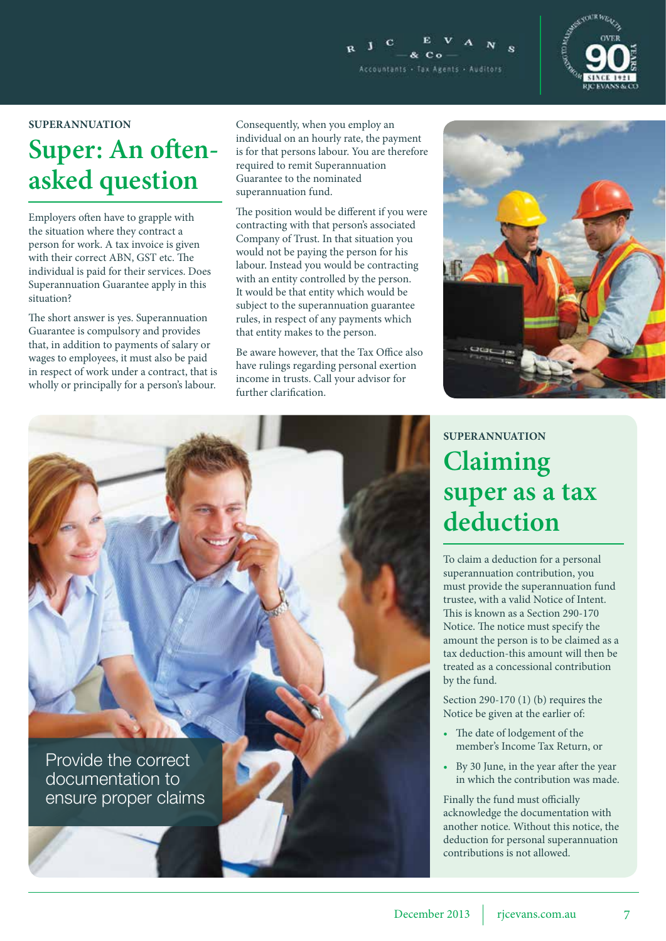



#### **superannuation**

### **Super: An oftenasked question**

Employers often have to grapple with the situation where they contract a person for work. A tax invoice is given with their correct ABN, GST etc. The individual is paid for their services. Does Superannuation Guarantee apply in this situation?

The short answer is yes. Superannuation Guarantee is compulsory and provides that, in addition to payments of salary or wages to employees, it must also be paid in respect of work under a contract, that is wholly or principally for a person's labour.

Consequently, when you employ an individual on an hourly rate, the payment is for that persons labour. You are therefore required to remit Superannuation Guarantee to the nominated superannuation fund.

The position would be different if you were contracting with that person's associated Company of Trust. In that situation you would not be paying the person for his labour. Instead you would be contracting with an entity controlled by the person. It would be that entity which would be subject to the superannuation guarantee rules, in respect of any payments which that entity makes to the person.

Be aware however, that the Tax Office also have rulings regarding personal exertion income in trusts. Call your advisor for further clarification.

### **superannuation Claiming super as a tax deduction**

To claim a deduction for a personal superannuation contribution, you must provide the superannuation fund trustee, with a valid Notice of Intent. This is known as a Section 290-170 Notice. The notice must specify the amount the person is to be claimed as a tax deduction-this amount will then be treated as a concessional contribution by the fund.

Section 290-170 (1) (b) requires the Notice be given at the earlier of:

- The date of lodgement of the member's Income Tax Return, or
- By 30 June, in the year after the year in which the contribution was made.

Finally the fund must officially acknowledge the documentation with another notice. Without this notice, the deduction for personal superannuation contributions is not allowed.